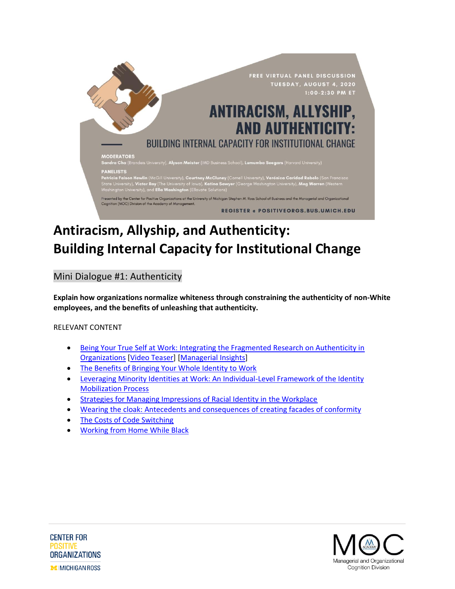

# **Antiracism, Allyship, and Authenticity: Building Internal Capacity for Institutional Change**

Mini Dialogue #1: Authenticity

**Explain how organizations normalize whiteness through constraining the authenticity of non-White employees, and the benefits of unleashing that authenticity.**

RELEVANT CONTENT

- [Being Your True Self at Work: Integrating the Fragmented Research on Authenticity in](https://journals.aom.org/doi/abs/10.5465/annals.2016.0108)  [Organizations](https://journals.aom.org/doi/abs/10.5465/annals.2016.0108) [\[Video Teaser\]](https://www.youtube.com/watch?v=2YfhXWCmLXY) [\[Managerial Insights\]](https://journals.aom.org/doi/10.5465/annals.2016.0108.summary)
- [The Benefits of Bringing Your Whole Identity to Work](https://hbr.org/2019/09/the-benefits-of-bringing-your-whole-identity-to-work)
- [Leveraging Minority Identities at Work: An Individual-Level Framework of the Identity](https://doi.org/10.1287/orsc.2018.1272)  [Mobilization Process](https://doi.org/10.1287/orsc.2018.1272)
- [Strategies for Managing Impressions of Racial Identity in the Workplace](https://psycnet.apa.org/record/2014-31328-001)
- [Wearing the cloak: Antecedents and consequences of creating facades of conformity](https://psycnet.apa.org/record/2009-06703-012)
- [The Costs of Code Switching](https://hbr.org/2019/11/the-costs-of-codeswitching)
- [Working from Home While Black](https://hbr.org/2020/06/working-from-home-while-black)



**CENTER FOR POSITIVE ORGANIZATIONS MIMICHIGAN ROSS**